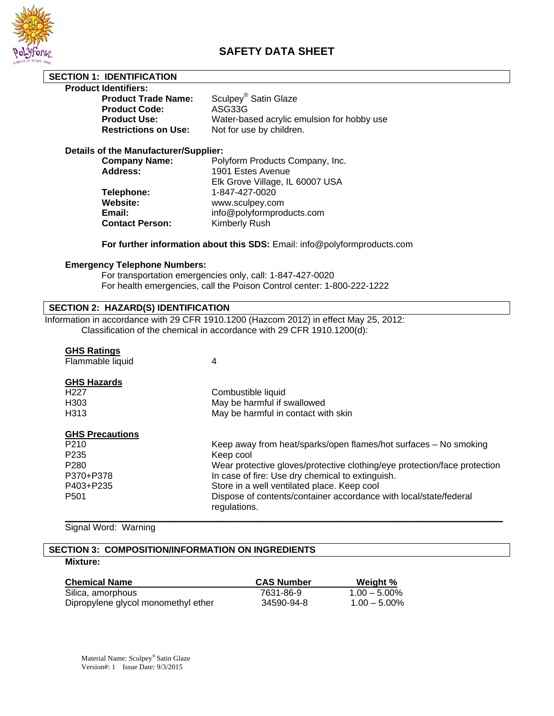

# **SAFETY DATA SHEET**

# **SECTION 1: IDENTIFICATION**

# **Product Identifiers:**

| <b>Product Trade Name:</b>  | Sculpey <sup>®</sup> Satin Glaze           |
|-----------------------------|--------------------------------------------|
| <b>Product Code:</b>        | ASG33G                                     |
| <b>Product Use:</b>         | Water-based acrylic emulsion for hobby use |
| <b>Restrictions on Use:</b> | Not for use by children.                   |

# **Details of the Manufacturer/Supplier:**

| <b>Company Name:</b>   | Polyform Products Company, Inc. |
|------------------------|---------------------------------|
| <b>Address:</b>        | 1901 Estes Avenue               |
|                        | Elk Grove Village, IL 60007 USA |
| Telephone:             | 1-847-427-0020                  |
| Website:               | www.sculpey.com                 |
| Email:                 | info@polyformproducts.com       |
| <b>Contact Person:</b> | Kimberly Rush                   |
|                        |                                 |

# **For further information about this SDS:** Email: info@polyformproducts.com

#### **Emergency Telephone Numbers:**

 For transportation emergencies only, call: 1-847-427-0020 For health emergencies, call the Poison Control center: 1-800-222-1222

# **SECTION 2: HAZARD(S) IDENTIFICATION**

Information in accordance with 29 CFR 1910.1200 (Hazcom 2012) in effect May 25, 2012: Classification of the chemical in accordance with 29 CFR 1910.1200(d):

# **GHS Ratings**

| Flammable liquid       | 4                                                                                 |
|------------------------|-----------------------------------------------------------------------------------|
| <b>GHS Hazards</b>     |                                                                                   |
| H <sub>227</sub>       | Combustible liquid                                                                |
| H <sub>303</sub>       | May be harmful if swallowed                                                       |
| H <sub>3</sub> 13      | May be harmful in contact with skin                                               |
| <b>GHS Precautions</b> |                                                                                   |
| P <sub>210</sub>       | Keep away from heat/sparks/open flames/hot surfaces – No smoking                  |
| P <sub>235</sub>       | Keep cool                                                                         |
| P <sub>280</sub>       | Wear protective gloves/protective clothing/eye protection/face protection         |
| P370+P378              | In case of fire: Use dry chemical to extinguish.                                  |
| P403+P235              | Store in a well ventilated place. Keep cool                                       |
| P <sub>501</sub>       | Dispose of contents/container accordance with local/state/federal<br>regulations. |

**\_\_\_\_\_\_\_\_\_\_\_\_\_\_\_\_\_\_\_\_\_\_\_\_\_\_\_\_\_\_\_\_\_\_\_\_\_\_\_\_\_\_\_\_\_\_\_\_\_\_\_\_\_\_\_\_\_\_\_\_\_\_\_\_\_\_\_\_\_\_\_\_\_\_\_\_\_\_\_\_\_\_\_\_\_\_\_** 

Signal Word: Warning

# **SECTION 3: COMPOSITION/INFORMATION ON INGREDIENTS**

**Mixture:**

| <b>Chemical Name</b>                | <b>CAS Number</b> | Weight %        |
|-------------------------------------|-------------------|-----------------|
| Silica, amorphous                   | 7631-86-9         | $1.00 - 5.00\%$ |
| Dipropylene glycol monomethyl ether | 34590-94-8        | $1.00 - 5.00\%$ |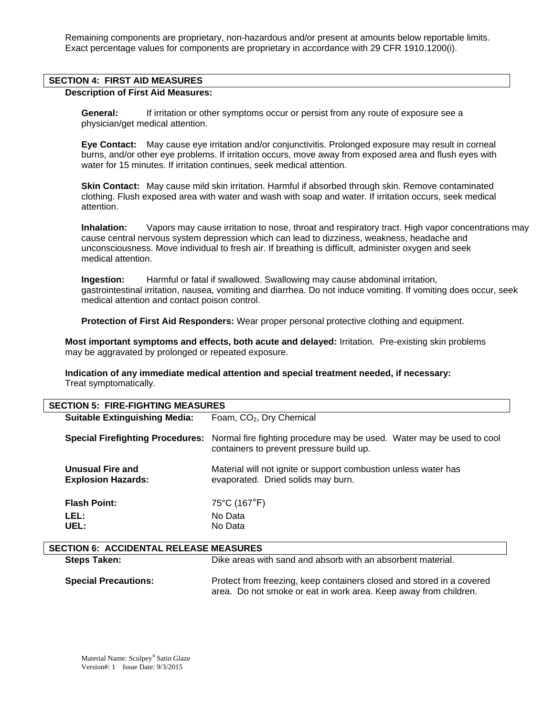Remaining components are proprietary, non-hazardous and/or present at amounts below reportable limits. Exact percentage values for components are proprietary in accordance with 29 CFR 1910.1200(i).

### **SECTION 4: FIRST AID MEASURES**

#### **Description of First Aid Measures:**

 **General:** If irritation or other symptoms occur or persist from any route of exposure see a physician/get medical attention.

 **Eye Contact:** May cause eye irritation and/or conjunctivitis. Prolonged exposure may result in corneal burns, and/or other eye problems. If irritation occurs, move away from exposed area and flush eyes with water for 15 minutes. If irritation continues, seek medical attention.

 **Skin Contact:** May cause mild skin irritation. Harmful if absorbed through skin. Remove contaminated clothing. Flush exposed area with water and wash with soap and water. If irritation occurs, seek medical attention.

**Inhalation:** Vapors may cause irritation to nose, throat and respiratory tract. High vapor concentrations may cause central nervous system depression which can lead to dizziness, weakness, headache and unconsciousness. Move individual to fresh air. If breathing is difficult, administer oxygen and seek medical attention.

 **Ingestion:** Harmful or fatal if swallowed. Swallowing may cause abdominal irritation, gastrointestinal irritation, nausea, vomiting and diarrhea. Do not induce vomiting. If vomiting does occur, seek medical attention and contact poison control.

 **Protection of First Aid Responders:** Wear proper personal protective clothing and equipment.

**Most important symptoms and effects, both acute and delayed:** Irritation. Pre-existing skin problems may be aggravated by prolonged or repeated exposure.

**Indication of any immediate medical attention and special treatment needed, if necessary:** Treat symptomatically.

| <b>SECTION 5: FIRE-FIGHTING MEASURES</b>      |                                                                                                                                                    |  |
|-----------------------------------------------|----------------------------------------------------------------------------------------------------------------------------------------------------|--|
| <b>Suitable Extinguishing Media:</b>          | Foam, CO <sub>2</sub> , Dry Chemical                                                                                                               |  |
|                                               | Special Firefighting Procedures: Normal fire fighting procedure may be used. Water may be used to cool<br>containers to prevent pressure build up. |  |
| Unusual Fire and<br><b>Explosion Hazards:</b> | Material will not ignite or support combustion unless water has<br>evaporated. Dried solids may burn.                                              |  |
| <b>Flash Point:</b>                           | 75°C (167°F)                                                                                                                                       |  |
| LEL:                                          | No Data                                                                                                                                            |  |
| UEL:                                          | No Data                                                                                                                                            |  |
|                                               |                                                                                                                                                    |  |

| <b>SECTION 6: ACCIDENTAL RELEASE MEASURES</b> |                                                                                                                                           |  |
|-----------------------------------------------|-------------------------------------------------------------------------------------------------------------------------------------------|--|
| <b>Steps Taken:</b>                           | Dike areas with sand and absorb with an absorbent material.                                                                               |  |
| <b>Special Precautions:</b>                   | Protect from freezing, keep containers closed and stored in a covered<br>area. Do not smoke or eat in work area. Keep away from children. |  |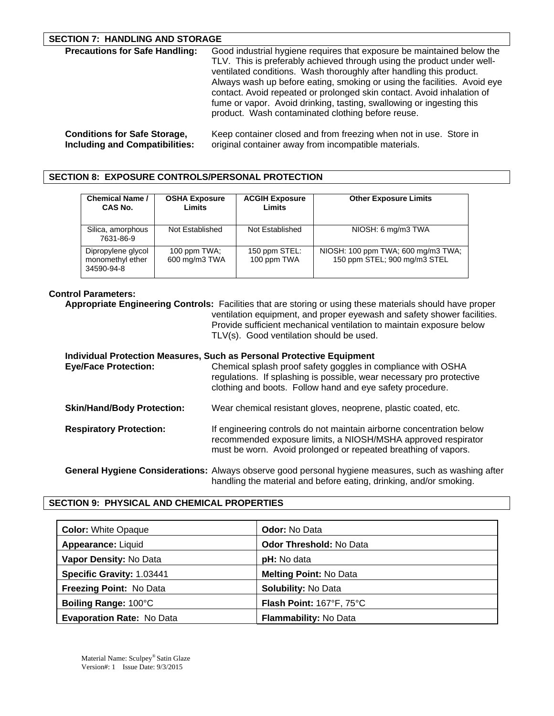### **SECTION 7: HANDLING AND STORAGE**

| <b>Precautions for Safe Handling:</b> | Good industrial hygiene requires that exposure be maintained below the<br>TLV. This is preferably achieved through using the product under well-<br>ventilated conditions. Wash thoroughly after handling this product.<br>Always wash up before eating, smoking or using the facilities. Avoid eye<br>contact. Avoid repeated or prolonged skin contact. Avoid inhalation of<br>fume or vapor. Avoid drinking, tasting, swallowing or ingesting this<br>product. Wash contaminated clothing before reuse. |
|---------------------------------------|------------------------------------------------------------------------------------------------------------------------------------------------------------------------------------------------------------------------------------------------------------------------------------------------------------------------------------------------------------------------------------------------------------------------------------------------------------------------------------------------------------|
| <b>Conditions for Safe Storage,</b>   | Keep container closed and from freezing when not in use. Store in                                                                                                                                                                                                                                                                                                                                                                                                                                          |

**Including and Compatibilities:** original container away from incompatible materials.

**SECTION 8: EXPOSURE CONTROLS/PERSONAL PROTECTION** 

| <b>Chemical Name /</b><br>CAS No.                    | <b>OSHA Exposure</b><br>Limits | <b>ACGIH Exposure</b><br>Limits | <b>Other Exposure Limits</b>                                       |
|------------------------------------------------------|--------------------------------|---------------------------------|--------------------------------------------------------------------|
| Silica, amorphous<br>7631-86-9                       | Not Established                | Not Established                 | NIOSH: 6 mg/m3 TWA                                                 |
| Dipropylene glycol<br>monomethyl ether<br>34590-94-8 | 100 ppm TWA:<br>600 mg/m3 TWA  | 150 ppm STEL:<br>100 ppm TWA    | NIOSH: 100 ppm TWA; 600 mg/m3 TWA;<br>150 ppm STEL; 900 mg/m3 STEL |

# **Control Parameters:**

**Appropriate Engineering Controls:** Facilities that are storing or using these materials should have proper ventilation equipment, and proper eyewash and safety shower facilities. Provide sufficient mechanical ventilation to maintain exposure below TLV(s). Good ventilation should be used.

| Individual Protection Measures, Such as Personal Protective Equipment |                                                                                                                                                                                                         |  |
|-----------------------------------------------------------------------|---------------------------------------------------------------------------------------------------------------------------------------------------------------------------------------------------------|--|
| <b>Eye/Face Protection:</b>                                           | Chemical splash proof safety goggles in compliance with OSHA<br>regulations. If splashing is possible, wear necessary pro protective<br>clothing and boots. Follow hand and eye safety procedure.       |  |
| <b>Skin/Hand/Body Protection:</b>                                     | Wear chemical resistant gloves, neoprene, plastic coated, etc.                                                                                                                                          |  |
| <b>Respiratory Protection:</b>                                        | If engineering controls do not maintain airborne concentration below<br>recommended exposure limits, a NIOSH/MSHA approved respirator<br>must be worn. Avoid prolonged or repeated breathing of vapors. |  |
|                                                                       | General Hygiene Considerations: Always observe good personal hygiene measures, such as washing after                                                                                                    |  |

handling the material and before eating, drinking, and/or smoking.

# **SECTION 9: PHYSICAL AND CHEMICAL PROPERTIES**

| <b>Color: White Opaque</b>       | <b>Odor: No Data</b>           |
|----------------------------------|--------------------------------|
| Appearance: Liquid               | <b>Odor Threshold: No Data</b> |
| Vapor Density: No Data           | pH: No data                    |
| Specific Gravity: 1.03441        | <b>Melting Point: No Data</b>  |
| <b>Freezing Point: No Data</b>   | <b>Solubility: No Data</b>     |
| Boiling Range: 100°C             | Flash Point: 167°F, 75°C       |
| <b>Evaporation Rate: No Data</b> | Flammability: No Data          |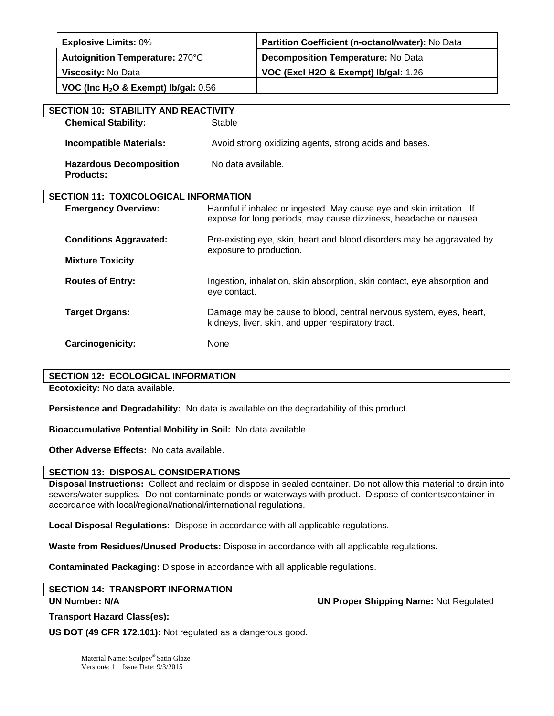| <b>Explosive Limits: 0%</b>              | Partition Coefficient (n-octanol/water): No Data |
|------------------------------------------|--------------------------------------------------|
| Autoignition Temperature: 270°C          | Decomposition Temperature: No Data               |
| Viscosity: No Data                       | VOC (Excl H2O & Exempt) lb/gal: 1.26             |
| VOC (Inc $H_2O$ & Exempt) Ib/gal: $0.56$ |                                                  |

| <b>SECTION 10: STABILITY AND REACTIVITY</b>        |                                                                                                                                            |  |
|----------------------------------------------------|--------------------------------------------------------------------------------------------------------------------------------------------|--|
| <b>Chemical Stability:</b>                         | Stable                                                                                                                                     |  |
| <b>Incompatible Materials:</b>                     | Avoid strong oxidizing agents, strong acids and bases.                                                                                     |  |
| <b>Hazardous Decomposition</b><br><b>Products:</b> | No data available.                                                                                                                         |  |
| <b>SECTION 11: TOXICOLOGICAL INFORMATION</b>       |                                                                                                                                            |  |
| <b>Emergency Overview:</b>                         | Harmful if inhaled or ingested. May cause eye and skin irritation. If<br>expose for long periods, may cause dizziness, headache or nausea. |  |
| <b>Conditions Aggravated:</b>                      | Pre-existing eye, skin, heart and blood disorders may be aggravated by<br>exposure to production.                                          |  |
| <b>Mixture Toxicity</b>                            |                                                                                                                                            |  |
| <b>Routes of Entry:</b>                            | Ingestion, inhalation, skin absorption, skin contact, eye absorption and<br>eye contact.                                                   |  |
| <b>Target Organs:</b>                              | Damage may be cause to blood, central nervous system, eyes, heart,<br>kidneys, liver, skin, and upper respiratory tract.                   |  |
| Carcinogenicity:                                   | None                                                                                                                                       |  |

### **SECTION 12: ECOLOGICAL INFORMATION**

**Ecotoxicity:** No data available.

**Persistence and Degradability:** No data is available on the degradability of this product.

**Bioaccumulative Potential Mobility in Soil:** No data available.

**Other Adverse Effects:** No data available.

# **SECTION 13: DISPOSAL CONSIDERATIONS**

**Disposal Instructions:** Collect and reclaim or dispose in sealed container. Do not allow this material to drain into sewers/water supplies. Do not contaminate ponds or waterways with product. Dispose of contents/container in accordance with local/regional/national/international regulations.

**Local Disposal Regulations:** Dispose in accordance with all applicable regulations.

**Waste from Residues/Unused Products:** Dispose in accordance with all applicable regulations.

**Contaminated Packaging:** Dispose in accordance with all applicable regulations.

# **SECTION 14: TRANSPORT INFORMATION**

**UN Number: N/A UN Proper Shipping Name:** Not Regulated

**Transport Hazard Class(es):** 

**US DOT (49 CFR 172.101):** Not regulated as a dangerous good.